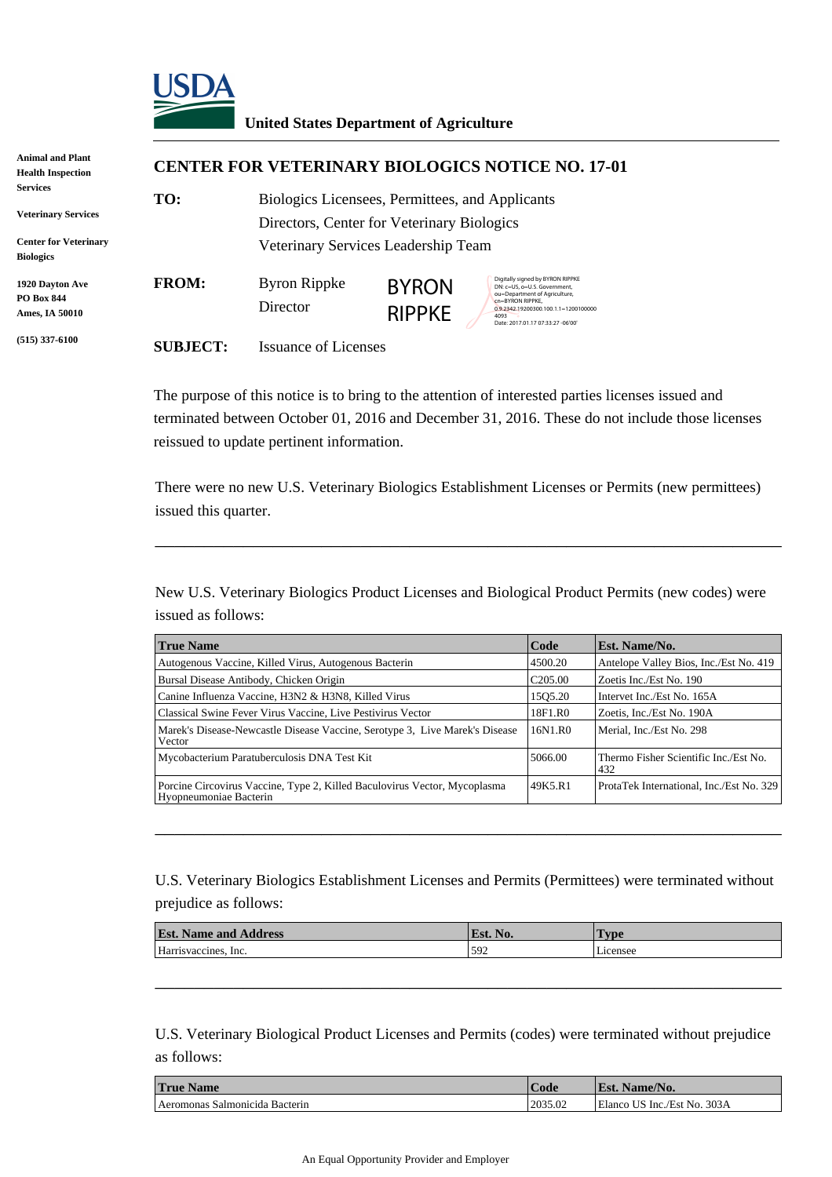

## **United States Department of Agriculture**

| <b>Animal and Plant</b><br><b>Health Inspection</b>                                               | <b>CENTER FOR VETERINARY BIOLOGICS NOTICE NO. 17-01</b> |                                                                                                                                      |                               |                                                                                                                                                                                                            |  |
|---------------------------------------------------------------------------------------------------|---------------------------------------------------------|--------------------------------------------------------------------------------------------------------------------------------------|-------------------------------|------------------------------------------------------------------------------------------------------------------------------------------------------------------------------------------------------------|--|
| <b>Services</b><br><b>Veterinary Services</b><br><b>Center for Veterinary</b><br><b>Biologics</b> | TO:                                                     | Biologics Licensees, Permittees, and Applicants<br>Directors, Center for Veterinary Biologics<br>Veterinary Services Leadership Team |                               |                                                                                                                                                                                                            |  |
| <b>1920 Dayton Ave</b><br><b>PO Box 844</b><br>Ames, IA 50010                                     | <b>FROM:</b>                                            | Byron Rippke<br>Director                                                                                                             | <b>BYRON</b><br><b>RIPPKE</b> | Digitally signed by BYRON RIPPKE<br>DN: c=US, o=U.S. Government.<br>ou=Department of Agriculture,<br>cn=BYRON RIPPKE.<br>0.9.2342.19200300.100.1.1=1200100000<br>4093<br>Date: 2017.01.17 07:33:27 -06'00' |  |
| $(515)$ 337-6100                                                                                  | <b>SUBJECT:</b>                                         | <b>Issuance of Licenses</b>                                                                                                          |                               |                                                                                                                                                                                                            |  |

The purpose of this notice is to bring to the attention of interested parties licenses issued and terminated between October 01, 2016 and December 31, 2016. These do not include those licenses reissued to update pertinent information.

There were no new U.S. Veterinary Biologics Establishment Licenses or Permits (new permittees) issued this quarter.

\_\_\_\_\_\_\_\_\_\_\_\_\_\_\_\_\_\_\_\_\_\_\_\_\_\_\_\_\_\_\_\_\_\_\_\_\_\_\_\_\_\_\_\_\_\_\_\_\_\_\_\_\_\_\_\_\_\_\_\_\_\_\_\_

New U.S. Veterinary Biologics Product Licenses and Biological Product Permits (new codes) were issued as follows:

| <b>True Name</b>                                                                                    | Code                | <b>Est. Name/No.</b>                         |  |
|-----------------------------------------------------------------------------------------------------|---------------------|----------------------------------------------|--|
| Autogenous Vaccine, Killed Virus, Autogenous Bacterin                                               | 4500.20             | Antelope Valley Bios, Inc./Est No. 419       |  |
| Bursal Disease Antibody, Chicken Origin                                                             | C <sub>205.00</sub> | Zoetis Inc./Est No. 190                      |  |
| Canine Influenza Vaccine, H3N2 & H3N8, Killed Virus                                                 | 1505.20             | Intervet Inc./Est No. 165A                   |  |
| Classical Swine Fever Virus Vaccine, Live Pestivirus Vector                                         | 18F1.R0             | Zoetis, Inc./Est No. 190A                    |  |
| Marek's Disease-Newcastle Disease Vaccine, Serotype 3, Live Marek's Disease<br>Vector               | 16N1.R0             | Merial, Inc./Est No. 298                     |  |
| Mycobacterium Paratuberculosis DNA Test Kit                                                         | 5066.00             | Thermo Fisher Scientific Inc./Est No.<br>432 |  |
| Porcine Circovirus Vaccine, Type 2, Killed Baculovirus Vector, Mycoplasma<br>Hyopneumoniae Bacterin | 149K5.R1            | ProtaTek International, Inc./Est No. 329     |  |

U.S. Veterinary Biologics Establishment Licenses and Permits (Permittees) were terminated without prejudice as follows:

\_\_\_\_\_\_\_\_\_\_\_\_\_\_\_\_\_\_\_\_\_\_\_\_\_\_\_\_\_\_\_\_\_\_\_\_\_\_\_\_\_\_\_\_\_\_\_\_\_\_\_\_\_\_\_\_\_\_\_\_\_\_\_\_

| $\mathbf{E}$ st<br><b>Address</b><br>Name and . | No.<br><sup>U</sup> Est. | l'vpe    |
|-------------------------------------------------|--------------------------|----------|
| Harrisvaccines.<br>lnc.                         | 592                      | Licensee |

\_\_\_\_\_\_\_\_\_\_\_\_\_\_\_\_\_\_\_\_\_\_\_\_\_\_\_\_\_\_\_\_\_\_\_\_\_\_\_\_\_\_\_\_\_\_\_\_\_\_\_\_\_\_\_\_\_\_\_\_\_\_\_\_

U.S. Veterinary Biological Product Licenses and Permits (codes) were terminated without prejudice as follows:

| <b>True Name</b>                      | Code    | Name/No.<br>Est.            |
|---------------------------------------|---------|-----------------------------|
| <b>Aeromonas Salmonicida Bacterin</b> | 2035.02 | Elanco US Inc./Est No. 303A |